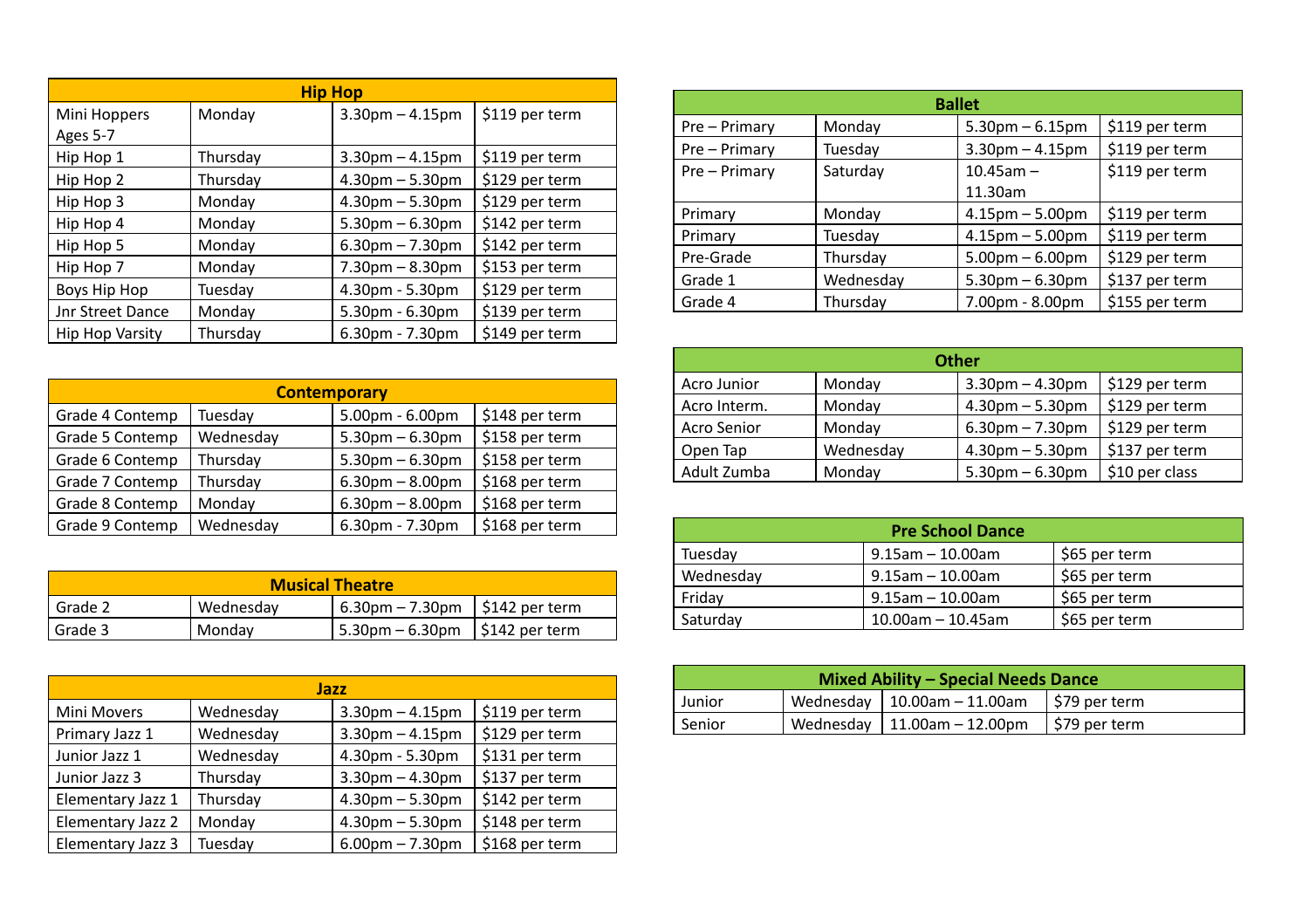| <b>Hip Hop</b>          |          |                       |                |  |
|-------------------------|----------|-----------------------|----------------|--|
| Mini Hoppers            | Monday   | $3.30$ pm $- 4.15$ pm | \$119 per term |  |
| Ages 5-7                |          |                       |                |  |
| Hip Hop 1               | Thursday | $3.30$ pm $- 4.15$ pm | \$119 per term |  |
| Hip Hop 2               | Thursday | $4.30pm - 5.30pm$     | \$129 per term |  |
| Hip Hop 3               | Monday   | $4.30pm - 5.30pm$     | \$129 per term |  |
| Hip Hop 4               | Monday   | $5.30$ pm $- 6.30$ pm | \$142 per term |  |
| Hip Hop 5               | Monday   | $6.30$ pm $- 7.30$ pm | \$142 per term |  |
| Hip Hop 7               | Monday   | $7.30pm - 8.30pm$     | \$153 per term |  |
| Boys Hip Hop            | Tuesday  | 4.30pm - 5.30pm       | \$129 per term |  |
| <b>Jnr Street Dance</b> | Monday   | 5.30pm - 6.30pm       | \$139 per term |  |
| <b>Hip Hop Varsity</b>  | Thursday | $6.30pm - 7.30pm$     | \$149 per term |  |

| <b>Contemporary</b> |           |                   |                |  |
|---------------------|-----------|-------------------|----------------|--|
| Grade 4 Contemp     | Tuesday   | 5.00pm - 6.00pm   | \$148 per term |  |
| Grade 5 Contemp     | Wednesday | $5.30pm - 6.30pm$ | \$158 per term |  |
| Grade 6 Contemp     | Thursday  | $5.30pm - 6.30pm$ | \$158 per term |  |
| Grade 7 Contemp     | Thursday  | $6.30pm - 8.00pm$ | \$168 per term |  |
| Grade 8 Contemp     | Monday    | $6.30pm - 8.00pm$ | \$168 per term |  |
| Grade 9 Contemp     | Wednesday | 6.30pm - 7.30pm   | \$168 per term |  |

| <b>Musical Theatre</b> |           |                                                |  |  |
|------------------------|-----------|------------------------------------------------|--|--|
| Grade 2                | Wednesday | $\frac{1}{2}$ 6.30pm – 7.30pm   \$142 per term |  |  |
| l Grade 3              | Mondav    | 5.30pm – 6.30pm   \$142 per term               |  |  |

| Jazz              |           |                       |                |  |
|-------------------|-----------|-----------------------|----------------|--|
| Mini Movers       | Wednesday | $3.30$ pm $- 4.15$ pm | \$119 per term |  |
| Primary Jazz 1    | Wednesday | $3.30$ pm $- 4.15$ pm | \$129 per term |  |
| Junior Jazz 1     | Wednesday | 4.30pm - 5.30pm       | \$131 per term |  |
| Junior Jazz 3     | Thursday  | $3.30$ pm $- 4.30$ pm | \$137 per term |  |
| Elementary Jazz 1 | Thursday  | $4.30pm - 5.30pm$     | \$142 per term |  |
| Elementary Jazz 2 | Monday    | $4.30pm - 5.30pm$     | \$148 per term |  |
| Elementary Jazz 3 | Tuesday   | $6.00pm - 7.30pm$     | \$168 per term |  |

| <b>Ballet</b> |           |                                         |                |  |
|---------------|-----------|-----------------------------------------|----------------|--|
| Pre – Primary | Monday    | $5.30pm - 6.15pm$                       | \$119 per term |  |
| Pre - Primary | Tuesday   | \$119 per term<br>$3.30$ pm $- 4.15$ pm |                |  |
| Pre - Primary | Saturday  | $10.45$ am $-$                          |                |  |
|               |           | 11.30am                                 |                |  |
| Primary       | Monday    | $4.15$ pm $- 5.00$ pm                   | \$119 per term |  |
| Primary       | Tuesday   | $4.15$ pm $- 5.00$ pm                   | \$119 per term |  |
| Pre-Grade     | Thursday  | $5.00$ pm $- 6.00$ pm                   | \$129 per term |  |
| Grade 1       | Wednesday | $5.30$ pm $- 6.30$ pm                   | \$137 per term |  |
| Grade 4       | Thursday  | 7.00pm - 8.00pm                         | \$155 per term |  |

| <b>Other</b>       |           |                       |                |
|--------------------|-----------|-----------------------|----------------|
| Acro Junior        | Monday    | $3.30$ pm $- 4.30$ pm | \$129 per term |
| Acro Interm.       | Monday    | $4.30pm - 5.30pm$     | \$129 per term |
| <b>Acro Senior</b> | Monday    | $6.30$ pm $- 7.30$ pm | \$129 per term |
| Open Tap           | Wednesday | $4.30pm - 5.30pm$     | \$137 per term |
| Adult Zumba        | Monday    | $5.30$ pm $- 6.30$ pm | \$10 per class |

| <b>Pre School Dance</b> |                      |               |  |  |
|-------------------------|----------------------|---------------|--|--|
| Tuesday                 | $9.15$ am - 10.00am  | \$65 per term |  |  |
| Wednesday               | $9.15$ am - 10.00am  | \$65 per term |  |  |
| Friday                  | $9.15$ am - 10.00am  | \$65 per term |  |  |
| Saturday                | $10.00$ am - 10.45am | \$65 per term |  |  |

| <b>Mixed Ability - Special Needs Dance</b>                |  |                                     |                |  |
|-----------------------------------------------------------|--|-------------------------------------|----------------|--|
| Wednesday   10.00am - 11.00am<br>Junior<br>∣\$79 per term |  |                                     |                |  |
| Senior                                                    |  | Wednesday   $11.00$ am - $12.00$ pm | ∣\$79 per term |  |